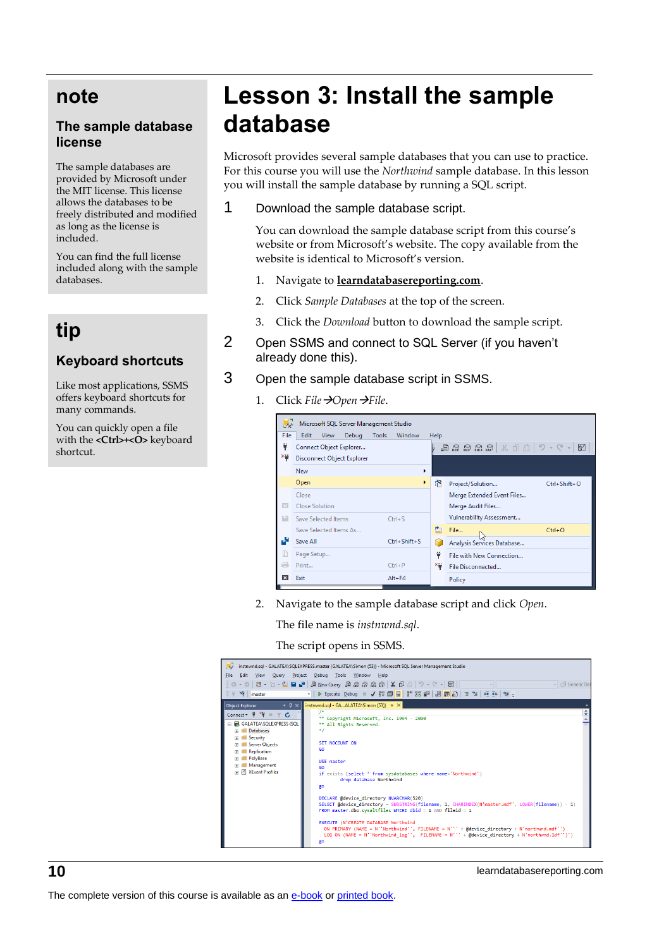## **note**

#### **The sample database license**

The sample databases are provided by Microsoft under the MIT license. This license allows the databases to be freely distributed and modified as long as the license is included.

You can find the full license included along with the sample databases.

# **tip**

### **Keyboard shortcuts**

Like most applications, SSMS offers keyboard shortcuts for many commands.

You can quickly open a file with the **<Ctrl>+<O>** keyboard shortcut.

# **Lesson 3: Install the sample database**

Microsoft provides several sample databases that you can use to practice. For this course you will use the *Northwind* sample database. In this lesson you will install the sample database by running a SQL script.

1 Download the sample database script.

You can download the sample database script from this course's website or from Microsoft's website. The copy available from the website is identical to Microsoft's version.

- 1. Navigate to **learndatabasereporting.com**.
- 2. Click *Sample Databases* at the top of the screen.
- 3. Click the *Download* button to download the sample script.
- 2 Open SSMS and connect to SQL Server (if you haven't already done this).
- 3 Open the sample database script in SSMS.
	- 1. Click *File*→*Open*→*File*.



2. Navigate to the sample database script and click *Open*.

The file name is *instnwnd.sql*.

The script opens in SSMS.



**10** learndatabasereporting.com